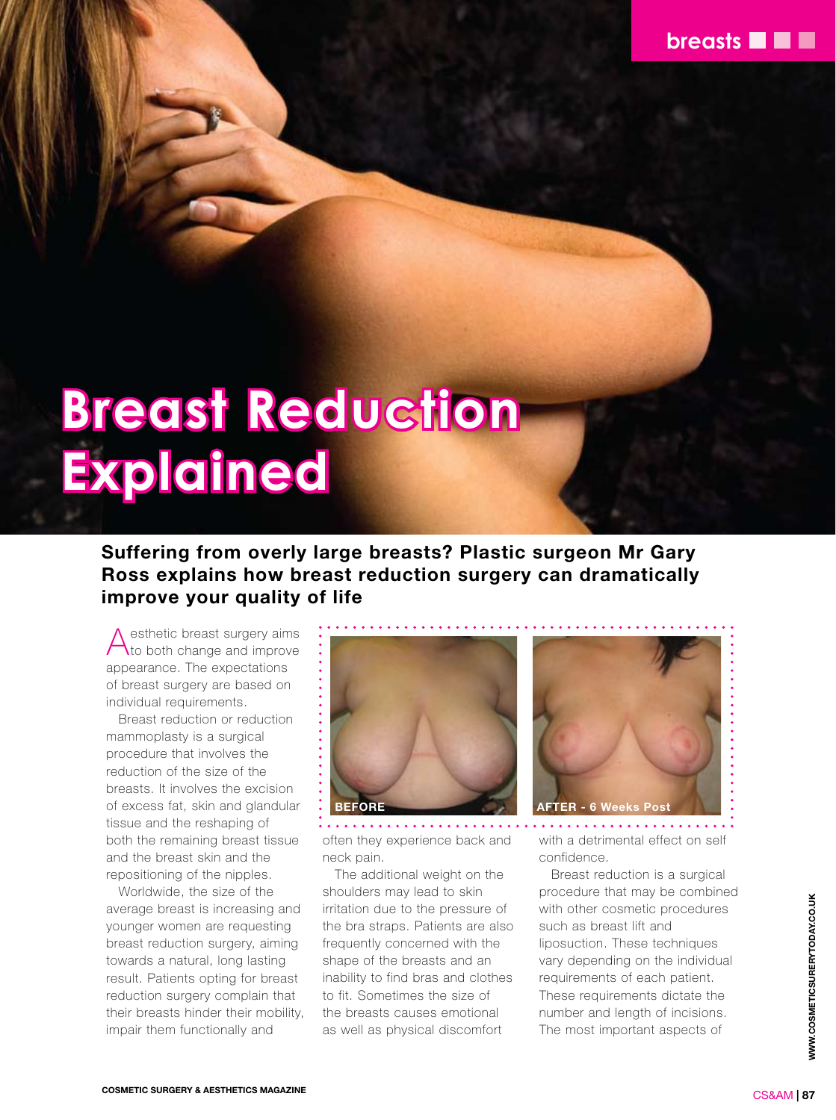

# **Breast Reduction Explained**

## **Suffering from overly large breasts? Plastic surgeon Mr Gary Ross explains how breast reduction surgery can dramatically improve your quality of life**

Aesthetic breast surgery aims to both change and improve appearance. The expectations of breast surgery are based on individual requirements.

Breast reduction or reduction mammoplasty is a surgical procedure that involves the reduction of the size of the breasts. It involves the excision of excess fat, skin and glandular tissue and the reshaping of both the remaining breast tissue and the breast skin and the repositioning of the nipples.

Worldwide, the size of the average breast is increasing and younger women are requesting breast reduction surgery, aiming towards a natural, long lasting result. Patients opting for breast reduction surgery complain that their breasts hinder their mobility, impair them functionally and



often they experience back and neck pain.

The additional weight on the shoulders may lead to skin irritation due to the pressure of the bra straps. Patients are also frequently concerned with the shape of the breasts and an inability to find bras and clothes to fit. Sometimes the size of the breasts causes emotional as well as physical discomfort



with a detrimental effect on self confidence.

Breast reduction is a surgical procedure that may be combined with other cosmetic procedures such as breast lift and liposuction. These techniques vary depending on the individual requirements of each patient. These requirements dictate the number and length of incisions. The most important aspects of